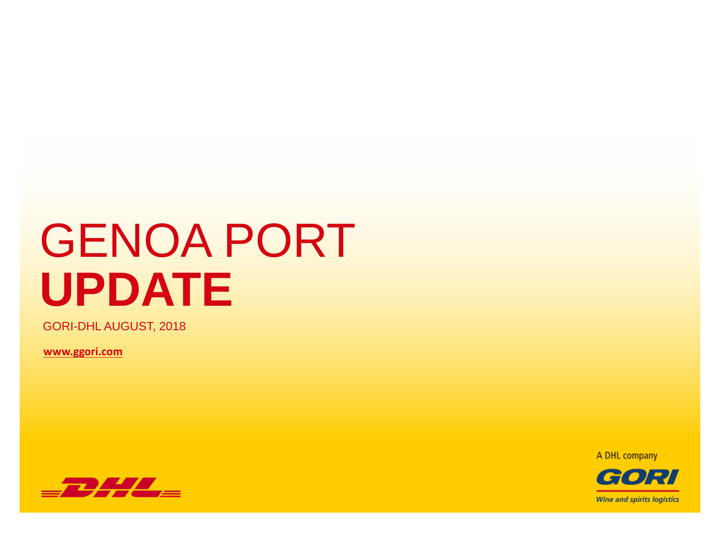# GENOA PORT **UPDATE**

GORI-DHL AUGUST, 2018

**[www.ggori.com](www2.ggori.com)**

A DHL company



GORI **Wine and spirits logistics**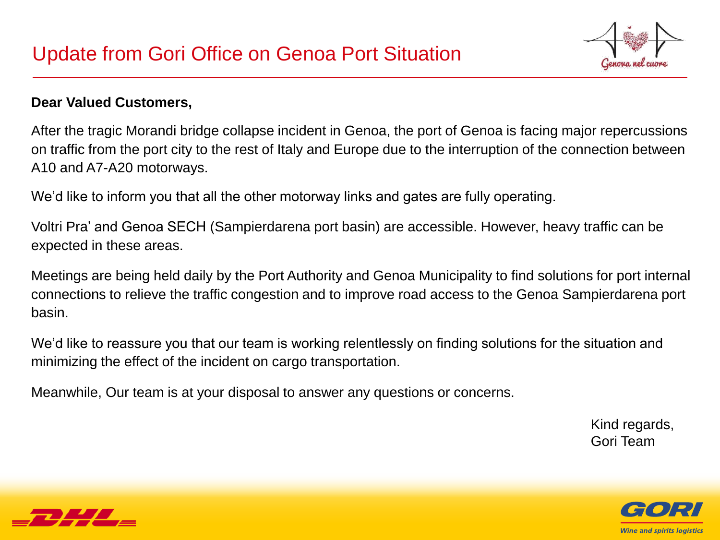

#### **Dear Valued Customers,**

After the tragic Morandi bridge collapse incident in Genoa, the port of Genoa is facing major repercussions on traffic from the port city to the rest of Italy and Europe due to the interruption of the connection between A10 and A7-A20 motorways.

We'd like to inform you that all the other motorway links and gates are fully operating.

Voltri Pra' and Genoa SECH (Sampierdarena port basin) are accessible. However, heavy traffic can be expected in these areas.

Meetings are being held daily by the Port Authority and Genoa Municipality to find solutions for port internal connections to relieve the traffic congestion and to improve road access to the Genoa Sampierdarena port basin.

We'd like to reassure you that our team is working relentlessly on finding solutions for the situation and minimizing the effect of the incident on cargo transportation.

Meanwhile, Our team is at your disposal to answer any questions or concerns.

Kind regards, Gori Team



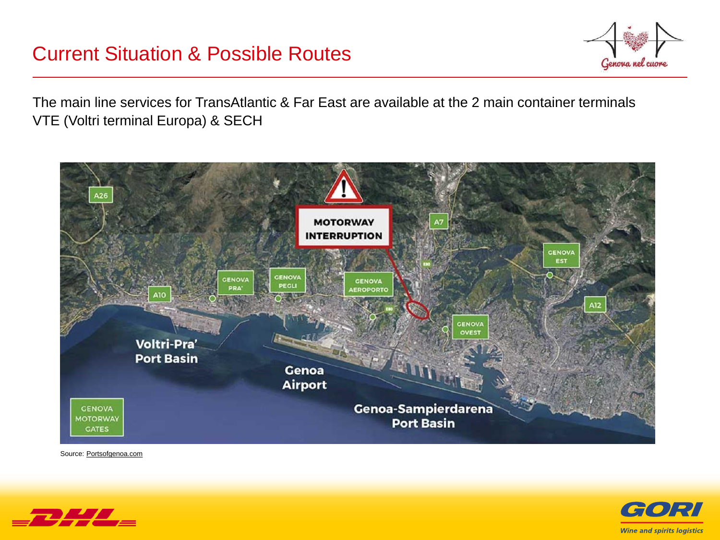### Current Situation & Possible Routes



The main line services for TransAtlantic & Far East are available at the 2 main container terminals VTE (Voltri terminal Europa) & SECH



Source: Portsofgenoa.com



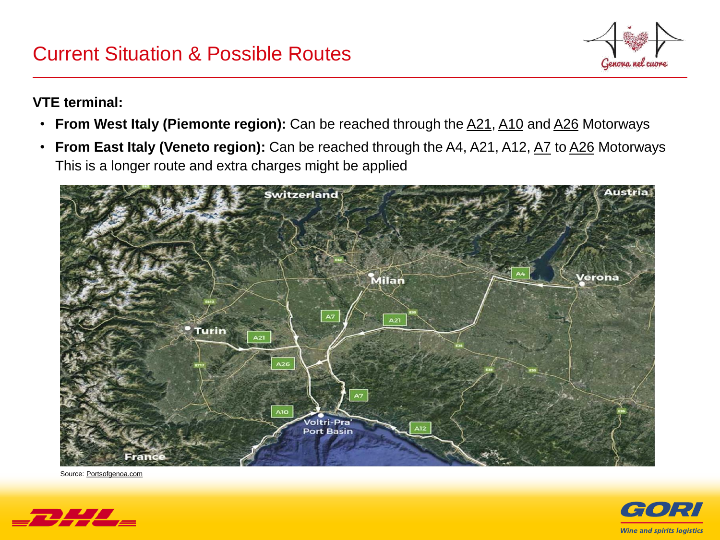## Current Situation & Possible Routes



#### **VTE terminal:**

- **From West Italy (Piemonte region):** Can be reached through the A21, A10 and A26 Motorways
- From East Italy (Veneto region): Can be reached through the A4, A21, A12, A7 to A26 Motorways This is a longer route and extra charges might be applied



Source: Portsofgenoa.com



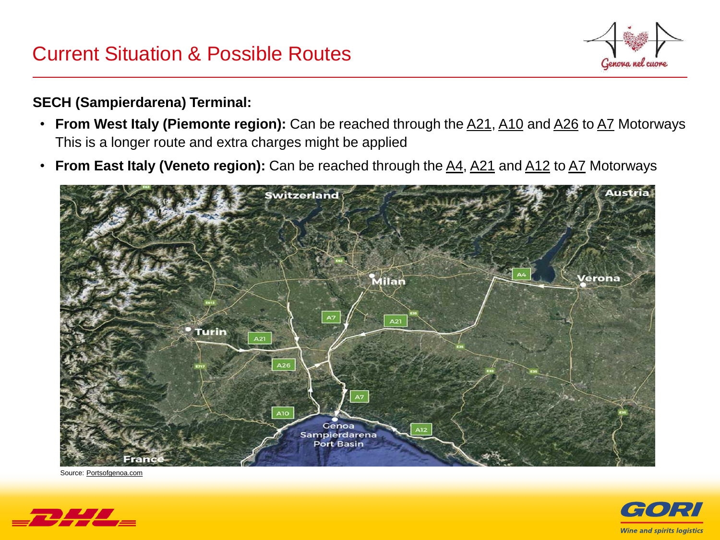## Current Situation & Possible Routes



#### **SECH (Sampierdarena) Terminal:**

- From West Italy (Piemonte region): Can be reached through the **A21**, A10 and A26 to A7 Motorways This is a longer route and extra charges might be applied
- **From East Italy (Veneto region):** Can be reached through the A4, A21 and A12 to A7 Motorways



Source: Portsofgenoa.com